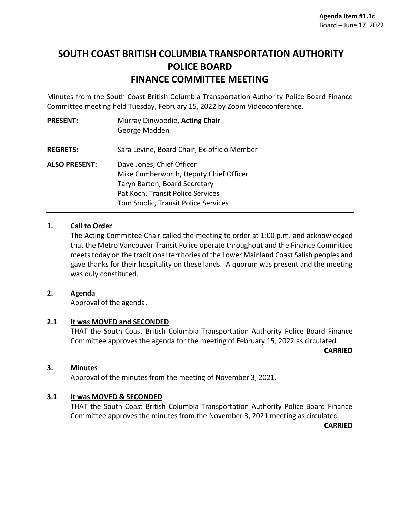# **SOUTH COAST BRITISH COLUMBIA TRANSPORTATION AUTHORITY POLICE BOARD FINANCE COMMITTEE MEETING**

Minutes from the South Coast British Columbia Transportation Authority Police Board Finance Committee meeting held Tuesday, February 15, 2022 by Zoom Videoconference.

| <b>PRESENT:</b>      | Murray Dinwoodie, Acting Chair<br>George Madden                                                                                                                                  |
|----------------------|----------------------------------------------------------------------------------------------------------------------------------------------------------------------------------|
| <b>REGRETS:</b>      | Sara Levine, Board Chair, Ex-officio Member                                                                                                                                      |
| <b>ALSO PRESENT:</b> | Dave Jones, Chief Officer<br>Mike Cumberworth, Deputy Chief Officer<br>Taryn Barton, Board Secretary<br>Pat Koch, Transit Police Services<br>Tom Smolic, Transit Police Services |

# **1. Call to Order**

The Acting Committee Chair called the meeting to order at 1:00 p.m. and acknowledged that the Metro Vancouver Transit Police operate throughout and the Finance Committee meets today on the traditional territories of the Lower Mainland Coast Salish peoples and gave thanks for their hospitality on these lands. A quorum was present and the meeting was duly constituted.

# **2. Agenda**

Approval of the agenda.

# **2.1 It was MOVED and SECONDED**

THAT the South Coast British Columbia Transportation Authority Police Board Finance Committee approves the agenda for the meeting of February 15, 2022 as circulated.

**CARRIED**

## **3. Minutes**

Approval of the minutes from the meeting of November 3, 2021.

# **3.1 It was MOVED & SECONDED**

THAT the South Coast British Columbia Transportation Authority Police Board Finance Committee approves the minutes from the November 3, 2021 meeting as circulated.

**CARRIED**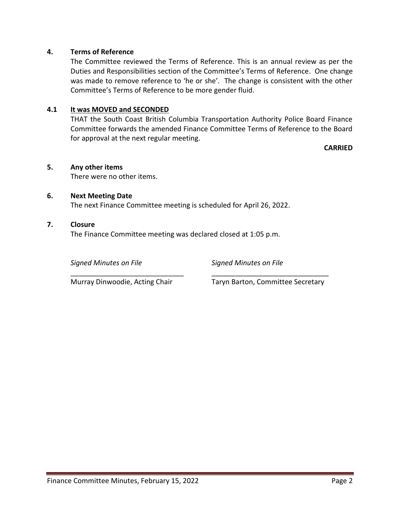## **4. Terms of Reference**

The Committee reviewed the Terms of Reference. This is an annual review as per the Duties and Responsibilities section of the Committee's Terms of Reference. One change was made to remove reference to 'he or she'. The change is consistent with the other Committee's Terms of Reference to be more gender fluid.

## **4.1 It was MOVED and SECONDED**

THAT the South Coast British Columbia Transportation Authority Police Board Finance Committee forwards the amended Finance Committee Terms of Reference to the Board for approval at the next regular meeting.

**CARRIED**

## **5. Any other items**

There were no other items.

## **6. Next Meeting Date**

The next Finance Committee meeting is scheduled for April 26, 2022.

\_\_\_\_\_\_\_\_\_\_\_\_\_\_\_\_\_\_\_\_\_\_\_\_\_\_\_\_\_ \_\_\_\_\_\_\_\_\_\_\_\_\_\_\_\_\_\_\_\_\_\_\_\_\_\_\_\_\_\_

## **7. Closure**

The Finance Committee meeting was declared closed at 1:05 p.m.

*Signed Minutes on File Signed Minutes on File*

Murray Dinwoodie, Acting Chair Taryn Barton, Committee Secretary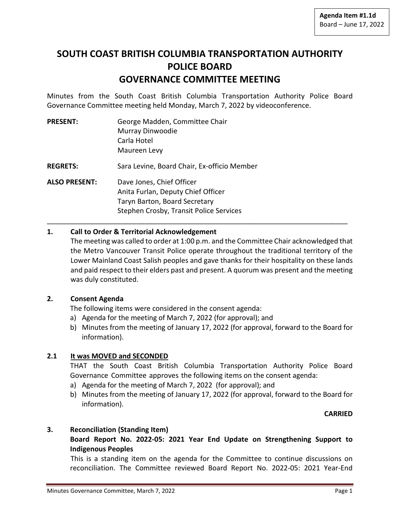# **SOUTH COAST BRITISH COLUMBIA TRANSPORTATION AUTHORITY POLICE BOARD GOVERNANCE COMMITTEE MEETING**

Minutes from the South Coast British Columbia Transportation Authority Police Board Governance Committee meeting held Monday, March 7, 2022 by videoconference.

| <b>PRESENT:</b>      | George Madden, Committee Chair              |  |
|----------------------|---------------------------------------------|--|
|                      | Murray Dinwoodie                            |  |
|                      | Carla Hotel                                 |  |
|                      | Maureen Levy                                |  |
| <b>REGRETS:</b>      | Sara Levine, Board Chair, Ex-officio Member |  |
| <b>ALSO PRESENT:</b> | Dave Jones, Chief Officer                   |  |
|                      | Anita Furlan, Deputy Chief Officer          |  |
|                      | Taryn Barton, Board Secretary               |  |
|                      | Stephen Crosby, Transit Police Services     |  |
|                      |                                             |  |

## **1. Call to Order & Territorial Acknowledgement**

The meeting was called to order at 1:00 p.m. and the Committee Chair acknowledged that the Metro Vancouver Transit Police operate throughout the traditional territory of the Lower Mainland Coast Salish peoples and gave thanks for their hospitality on these lands and paid respect to their elders past and present. A quorum was present and the meeting was duly constituted.

## **2. Consent Agenda**

The following items were considered in the consent agenda:

- a) Agenda for the meeting of March 7, 2022 (for approval); and
- b) Minutes from the meeting of January 17, 2022 (for approval, forward to the Board for information).

# **2.1 It was MOVED and SECONDED**

THAT the South Coast British Columbia Transportation Authority Police Board Governance Committee approves the following items on the consent agenda:

- a) Agenda for the meeting of March 7, 2022 (for approval); and
- b) Minutes from the meeting of January 17, 2022 (for approval, forward to the Board for information).

## **CARRIED**

## **3. Reconciliation (Standing Item)**

**Board Report No. 2022-05: 2021 Year End Update on Strengthening Support to Indigenous Peoples**

This is a standing item on the agenda for the Committee to continue discussions on reconciliation. The Committee reviewed Board Report No. 2022-05: 2021 Year-End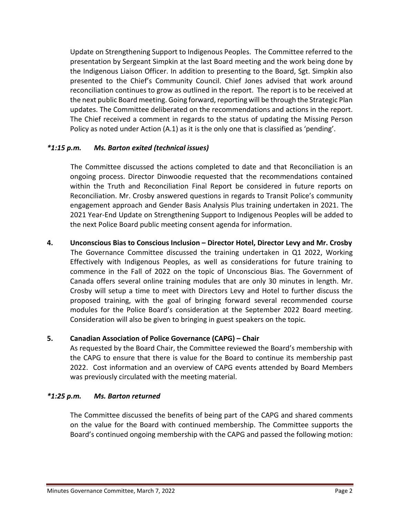Update on Strengthening Support to Indigenous Peoples. The Committee referred to the presentation by Sergeant Simpkin at the last Board meeting and the work being done by the Indigenous Liaison Officer. In addition to presenting to the Board, Sgt. Simpkin also presented to the Chief's Community Council. Chief Jones advised that work around reconciliation continues to grow as outlined in the report. The report is to be received at the next public Board meeting. Going forward, reporting will be through the Strategic Plan updates. The Committee deliberated on the recommendations and actions in the report. The Chief received a comment in regards to the status of updating the Missing Person Policy as noted under Action (A.1) as it is the only one that is classified as 'pending'.

# *\*1:15 p.m. Ms. Barton exited (technical issues)*

The Committee discussed the actions completed to date and that Reconciliation is an ongoing process. Director Dinwoodie requested that the recommendations contained within the Truth and Reconciliation Final Report be considered in future reports on Reconciliation. Mr. Crosby answered questions in regards to Transit Police's community engagement approach and Gender Basis Analysis Plus training undertaken in 2021. The 2021 Year-End Update on Strengthening Support to Indigenous Peoples will be added to the next Police Board public meeting consent agenda for information.

**4. Unconscious Bias to Conscious Inclusion – Director Hotel, Director Levy and Mr. Crosby** The Governance Committee discussed the training undertaken in Q1 2022, Working Effectively with Indigenous Peoples, as well as considerations for future training to commence in the Fall of 2022 on the topic of Unconscious Bias. The Government of Canada offers several online training modules that are only 30 minutes in length. Mr. Crosby will setup a time to meet with Directors Levy and Hotel to further discuss the proposed training, with the goal of bringing forward several recommended course modules for the Police Board's consideration at the September 2022 Board meeting. Consideration will also be given to bringing in guest speakers on the topic.

# **5. Canadian Association of Police Governance (CAPG) – Chair**

As requested by the Board Chair, the Committee reviewed the Board's membership with the CAPG to ensure that there is value for the Board to continue its membership past 2022. Cost information and an overview of CAPG events attended by Board Members was previously circulated with the meeting material.

# *\*1:25 p.m. Ms. Barton returned*

The Committee discussed the benefits of being part of the CAPG and shared comments on the value for the Board with continued membership. The Committee supports the Board's continued ongoing membership with the CAPG and passed the following motion: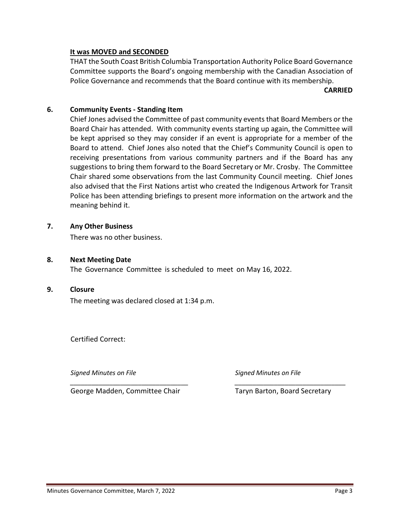## **It was MOVED and SECONDED**

THAT the South Coast British Columbia Transportation Authority Police Board Governance Committee supports the Board's ongoing membership with the Canadian Association of Police Governance and recommends that the Board continue with its membership.

**CARRIED**

## **6. Community Events - Standing Item**

Chief Jones advised the Committee of past community events that Board Members or the Board Chair has attended. With community events starting up again, the Committee will be kept apprised so they may consider if an event is appropriate for a member of the Board to attend. Chief Jones also noted that the Chief's Community Council is open to receiving presentations from various community partners and if the Board has any suggestions to bring them forward to the Board Secretary or Mr. Crosby. The Committee Chair shared some observations from the last Community Council meeting. Chief Jones also advised that the First Nations artist who created the Indigenous Artwork for Transit Police has been attending briefings to present more information on the artwork and the meaning behind it.

*\_\_\_\_\_\_\_\_\_\_\_\_\_\_\_\_\_\_\_\_\_\_\_\_\_\_\_\_\_\_\_\_\_ \_\_\_\_\_\_\_\_\_\_\_\_\_\_\_\_\_\_\_\_\_\_\_\_\_\_\_\_\_\_\_*

## **7. Any Other Business**

There was no other business.

## **8. Next Meeting Date**

The Governance Committee is scheduled to meet on May 16, 2022.

## **9. Closure**

The meeting was declared closed at 1:34 p.m.

Certified Correct:

*Signed Minutes on File Signed Minutes on File*

George Madden, Committee Chair Taryn Barton, Board Secretary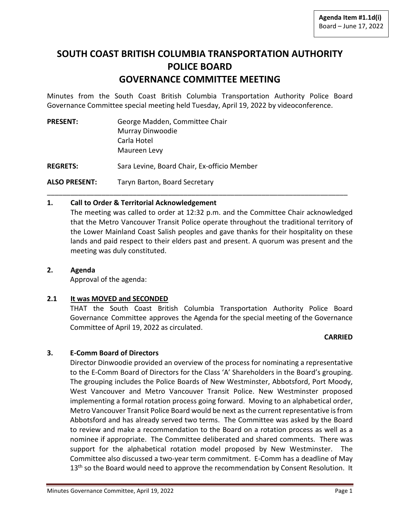# **SOUTH COAST BRITISH COLUMBIA TRANSPORTATION AUTHORITY POLICE BOARD GOVERNANCE COMMITTEE MEETING**

Minutes from the South Coast British Columbia Transportation Authority Police Board Governance Committee special meeting held Tuesday, April 19, 2022 by videoconference.

| <b>PRESENT:</b> | George Madden, Committee Chair              |
|-----------------|---------------------------------------------|
|                 | Murray Dinwoodie                            |
|                 | Carla Hotel                                 |
|                 | Maureen Levy                                |
| <b>REGRETS:</b> | Sara Levine, Board Chair, Ex-officio Member |
| ALSO PRESENT:   | Taryn Barton, Board Secretary               |

## **1. Call to Order & Territorial Acknowledgement**

The meeting was called to order at 12:32 p.m. and the Committee Chair acknowledged that the Metro Vancouver Transit Police operate throughout the traditional territory of the Lower Mainland Coast Salish peoples and gave thanks for their hospitality on these lands and paid respect to their elders past and present. A quorum was present and the meeting was duly constituted.

\_\_\_\_\_\_\_\_\_\_\_\_\_\_\_\_\_\_\_\_\_\_\_\_\_\_\_\_\_\_\_\_\_\_\_\_\_\_\_\_\_\_\_\_\_\_\_\_\_\_\_\_\_\_\_\_\_\_\_\_\_\_\_\_\_\_\_\_\_\_\_\_\_\_\_\_\_

## **2. Agenda**

Approval of the agenda:

## **2.1 It was MOVED and SECONDED**

THAT the South Coast British Columbia Transportation Authority Police Board Governance Committee approves the Agenda for the special meeting of the Governance Committee of April 19, 2022 as circulated.

## **CARRIED**

## **3. E-Comm Board of Directors**

Director Dinwoodie provided an overview of the process for nominating a representative to the E-Comm Board of Directors for the Class 'A' Shareholders in the Board's grouping. The grouping includes the Police Boards of New Westminster, Abbotsford, Port Moody, West Vancouver and Metro Vancouver Transit Police. New Westminster proposed implementing a formal rotation process going forward. Moving to an alphabetical order, Metro Vancouver Transit Police Board would be next as the current representative is from Abbotsford and has already served two terms. The Committee was asked by the Board to review and make a recommendation to the Board on a rotation process as well as a nominee if appropriate. The Committee deliberated and shared comments. There was support for the alphabetical rotation model proposed by New Westminster. The Committee also discussed a two-year term commitment. E-Comm has a deadline of May  $13<sup>th</sup>$  so the Board would need to approve the recommendation by Consent Resolution. It